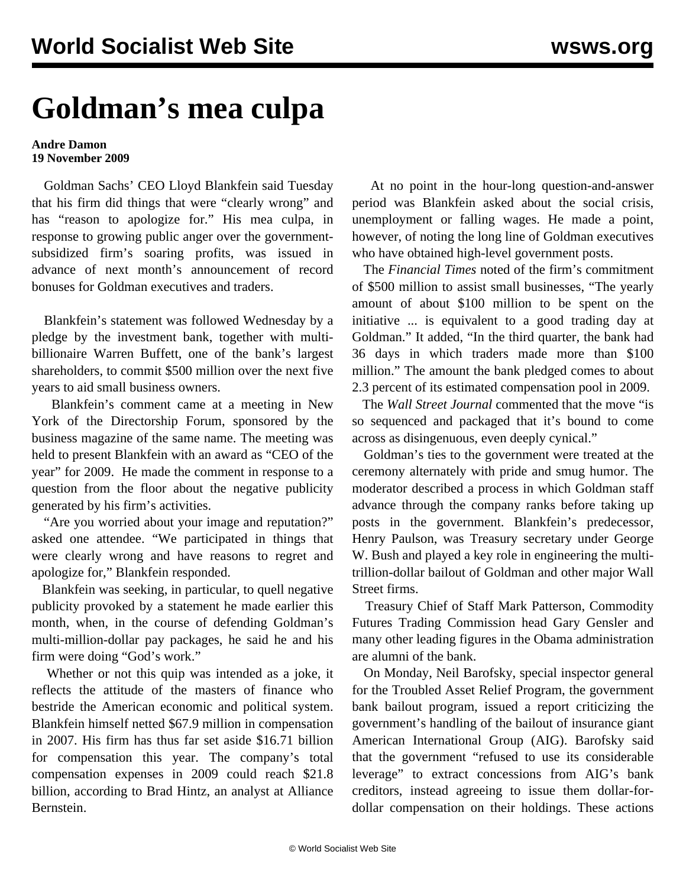## **Goldman's mea culpa**

## **Andre Damon 19 November 2009**

 Goldman Sachs' CEO Lloyd Blankfein said Tuesday that his firm did things that were "clearly wrong" and has "reason to apologize for." His mea culpa, in response to growing public anger over the governmentsubsidized firm's soaring profits, was issued in advance of next month's announcement of record bonuses for Goldman executives and traders.

 Blankfein's statement was followed Wednesday by a pledge by the investment bank, together with multibillionaire Warren Buffett, one of the bank's largest shareholders, to commit \$500 million over the next five years to aid small business owners.

 Blankfein's comment came at a meeting in New York of the Directorship Forum, sponsored by the business magazine of the same name. The meeting was held to present Blankfein with an award as "CEO of the year" for 2009. He made the comment in response to a question from the floor about the negative publicity generated by his firm's activities.

 "Are you worried about your image and reputation?" asked one attendee. "We participated in things that were clearly wrong and have reasons to regret and apologize for," Blankfein responded.

 Blankfein was seeking, in particular, to quell negative publicity provoked by a statement he made earlier this month, when, in the course of defending Goldman's multi-million-dollar pay packages, he said he and his firm were doing "God's work."

 Whether or not this quip was intended as a joke, it reflects the attitude of the masters of finance who bestride the American economic and political system. Blankfein himself netted \$67.9 million in compensation in 2007. His firm has thus far set aside \$16.71 billion for compensation this year. The company's total compensation expenses in 2009 could reach \$21.8 billion, according to Brad Hintz, an analyst at Alliance Bernstein.

 At no point in the hour-long question-and-answer period was Blankfein asked about the social crisis, unemployment or falling wages. He made a point, however, of noting the long line of Goldman executives who have obtained high-level government posts.

 The *Financial Times* noted of the firm's commitment of \$500 million to assist small businesses, "The yearly amount of about \$100 million to be spent on the initiative ... is equivalent to a good trading day at Goldman." It added, "In the third quarter, the bank had 36 days in which traders made more than \$100 million." The amount the bank pledged comes to about 2.3 percent of its estimated compensation pool in 2009.

 The *Wall Street Journal* commented that the move "is so sequenced and packaged that it's bound to come across as disingenuous, even deeply cynical."

 Goldman's ties to the government were treated at the ceremony alternately with pride and smug humor. The moderator described a process in which Goldman staff advance through the company ranks before taking up posts in the government. Blankfein's predecessor, Henry Paulson, was Treasury secretary under George W. Bush and played a key role in engineering the multitrillion-dollar bailout of Goldman and other major Wall Street firms.

 Treasury Chief of Staff Mark Patterson, Commodity Futures Trading Commission head Gary Gensler and many other leading figures in the Obama administration are alumni of the bank.

 On Monday, Neil Barofsky, special inspector general for the Troubled Asset Relief Program, the government bank bailout program, issued a report criticizing the government's handling of the bailout of insurance giant American International Group (AIG). Barofsky said that the government "refused to use its considerable leverage" to extract concessions from AIG's bank creditors, instead agreeing to issue them dollar-fordollar compensation on their holdings. These actions